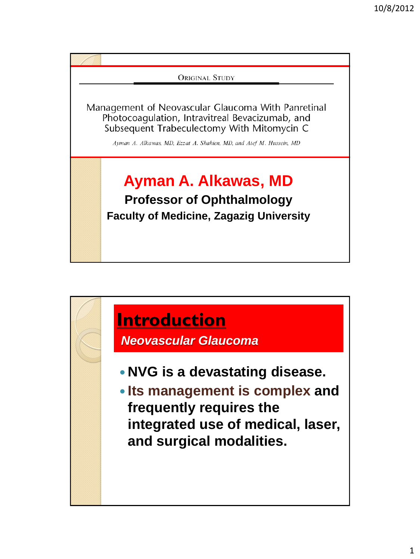

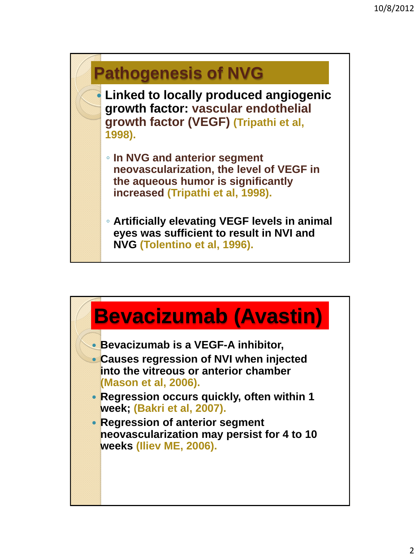

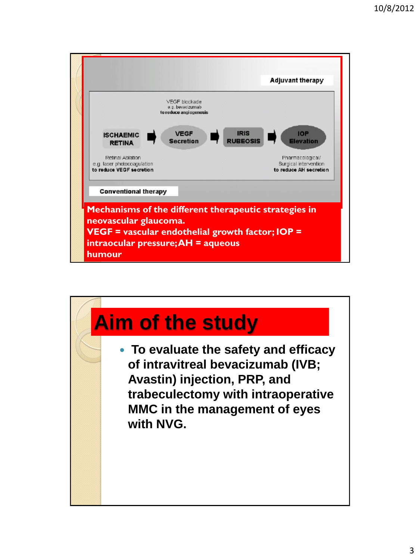

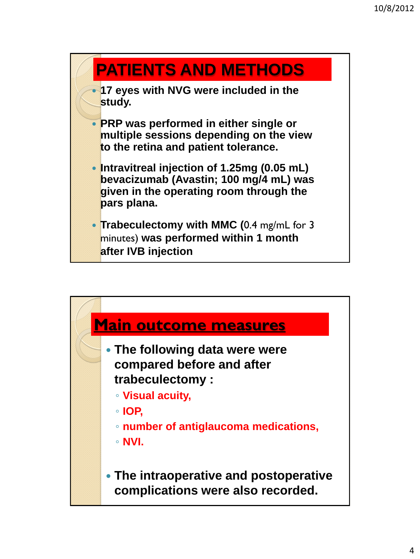#### **PATIENTS AND METHODS**

 **17 eyes with NVG were included in the study.**

- **PRP was performed in either single or multiple sessions depending on the view to the retina and patient tolerance.**
- **Intravitreal injection of 1.25mg (0.05 mL) bevacizumab (Avastin; 100 mg/4 mL) was given in the operating room through the pars plana.**
- **Trabeculectomy with MMC (**0.4 mg/mL for 3 minutes) **was performed within 1 month after IVB injection**

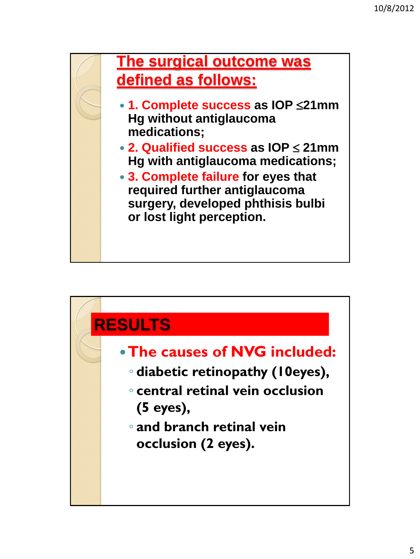

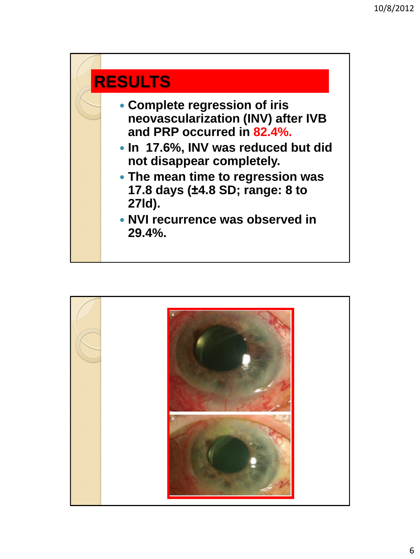

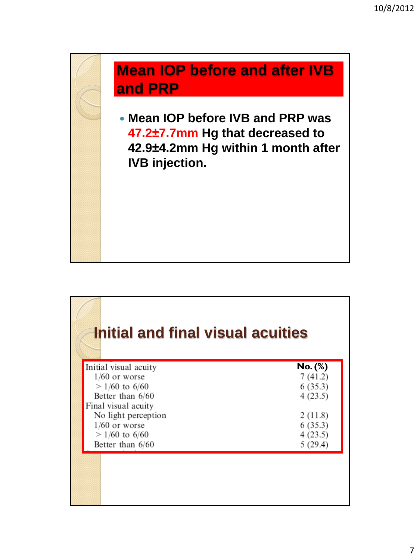#### **Mean IOP before and after IVB and PRP**

 **Mean IOP before IVB and PRP was 47.2±7.7mm Hg that decreased to 42.9±4.2mm Hg within 1 month after IVB injection.**

### **Initial and final visual acuities**

| Initial visual acuity | $No.$ (%) |
|-----------------------|-----------|
| $1/60$ or worse       | 7(41.2)   |
| $>1/60$ to 6/60       | 6(35.3)   |
| Better than 6/60      | 4(23.5)   |
| Final visual acuity   |           |
| No light perception   | 2(11.8)   |
| $1/60$ or worse       | 6(35.3)   |
| $> 1/60$ to 6/60      | 4(23.5)   |
| Better than 6/60      | 5(29.4)   |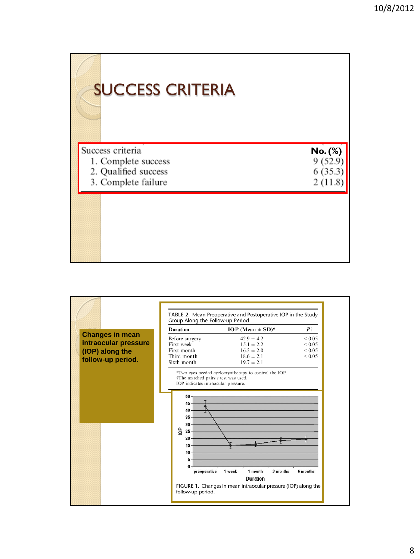# SUCCESS CRITERIA

| Success criteria     | No. (%) |
|----------------------|---------|
| 1. Complete success  | 9(52.9) |
| 2. Qualified success | 6(35.3) |
| 3. Complete failure  | 2(11.8) |
|                      |         |

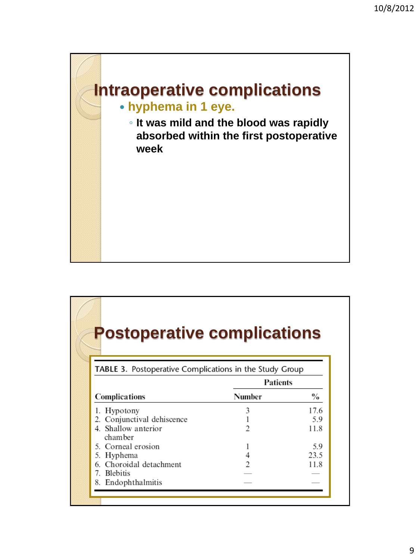

## **Postoperative complications**

|                                | Patients |      |
|--------------------------------|----------|------|
| <b>Complications</b>           | Number   | $\%$ |
| 1. Hypotony                    |          | 17.6 |
| 2. Conjunctival dehiscence     |          | 5.9  |
| 4. Shallow anterior<br>chamber |          | 11.8 |
| 5. Corneal erosion             |          | 5.9  |
| 5. Hyphema                     |          | 23.5 |
| 6. Choroidal detachment        |          | 11.8 |
| 7. Blebitis                    |          |      |
| 8. Endophthalmitis             |          |      |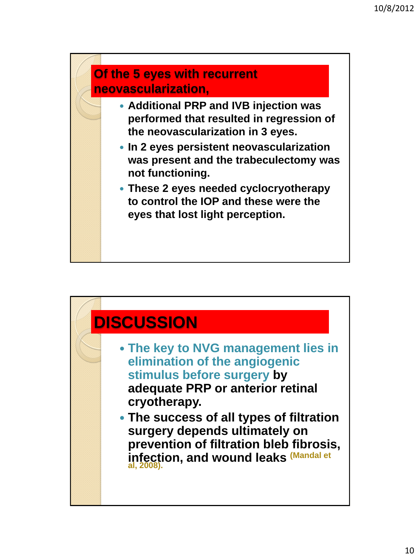

- **Additional PRP and IVB injection was performed that resulted in regression of the neovascularization in 3 eyes.**
- **In 2 eyes persistent neovascularization was present and the trabeculectomy was not functioning.**
- **These 2 eyes needed cyclocryotherapy to control the IOP and these were the eyes that lost light perception.**

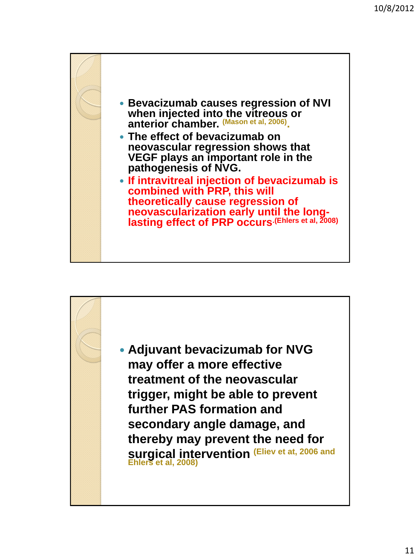

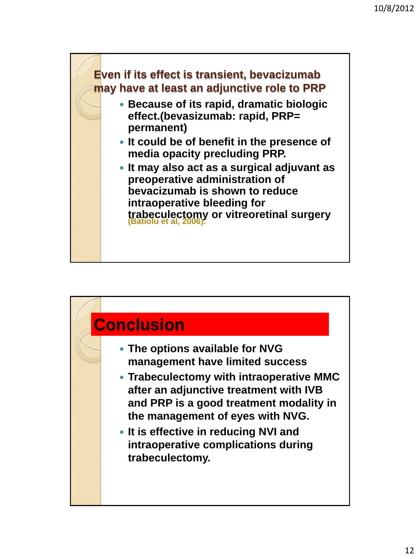